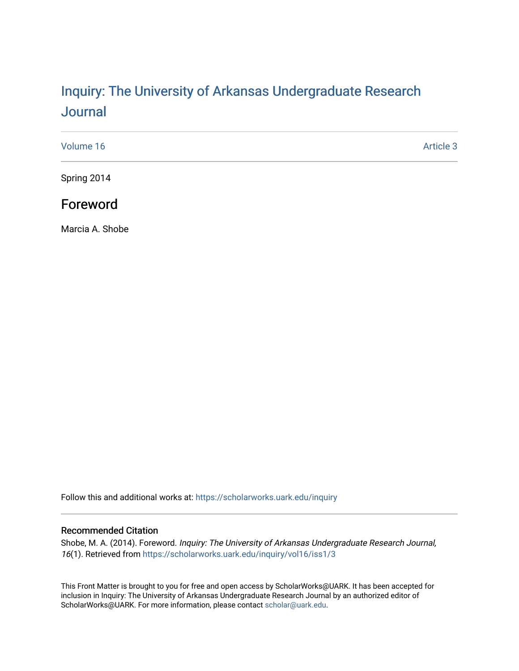# Inquiry: The Univ[ersity of Arkansas Undergraduate Resear](https://scholarworks.uark.edu/inquiry)ch **Journal**

| Volume 16 | Article 3 |
|-----------|-----------|
|-----------|-----------|

Spring 2014

# Foreword

Marcia A. Shobe

Follow this and additional works at: [https://scholarworks.uark.edu/inquiry](https://scholarworks.uark.edu/inquiry?utm_source=scholarworks.uark.edu%2Finquiry%2Fvol16%2Fiss1%2F3&utm_medium=PDF&utm_campaign=PDFCoverPages)

## Recommended Citation

Shobe, M. A. (2014). Foreword. Inquiry: The University of Arkansas Undergraduate Research Journal, 16(1). Retrieved from [https://scholarworks.uark.edu/inquiry/vol16/iss1/3](https://scholarworks.uark.edu/inquiry/vol16/iss1/3?utm_source=scholarworks.uark.edu%2Finquiry%2Fvol16%2Fiss1%2F3&utm_medium=PDF&utm_campaign=PDFCoverPages)

This Front Matter is brought to you for free and open access by ScholarWorks@UARK. It has been accepted for inclusion in Inquiry: The University of Arkansas Undergraduate Research Journal by an authorized editor of ScholarWorks@UARK. For more information, please contact [scholar@uark.edu](mailto:scholar@uark.edu).